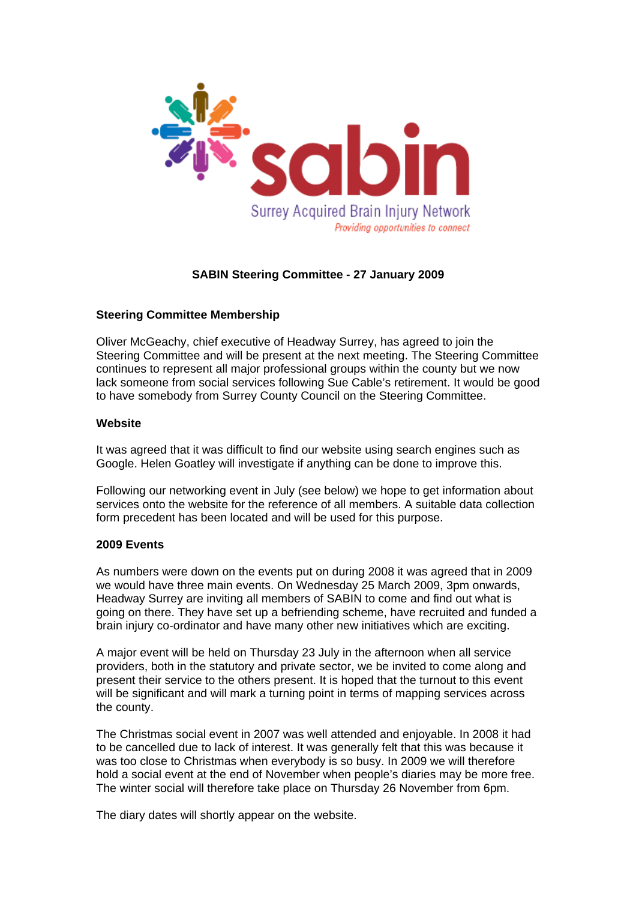

# **SABIN Steering Committee - 27 January 2009**

## **Steering Committee Membership**

Oliver McGeachy, chief executive of Headway Surrey, has agreed to join the Steering Committee and will be present at the next meeting. The Steering Committee continues to represent all major professional groups within the county but we now lack someone from social services following Sue Cable's retirement. It would be good to have somebody from Surrey County Council on the Steering Committee.

## **Website**

It was agreed that it was difficult to find our website using search engines such as Google. Helen Goatley will investigate if anything can be done to improve this.

Following our networking event in July (see below) we hope to get information about services onto the website for the reference of all members. A suitable data collection form precedent has been located and will be used for this purpose.

#### **2009 Events**

As numbers were down on the events put on during 2008 it was agreed that in 2009 we would have three main events. On Wednesday 25 March 2009, 3pm onwards, Headway Surrey are inviting all members of SABIN to come and find out what is going on there. They have set up a befriending scheme, have recruited and funded a brain injury co-ordinator and have many other new initiatives which are exciting.

A major event will be held on Thursday 23 July in the afternoon when all service providers, both in the statutory and private sector, we be invited to come along and present their service to the others present. It is hoped that the turnout to this event will be significant and will mark a turning point in terms of mapping services across the county.

The Christmas social event in 2007 was well attended and enjoyable. In 2008 it had to be cancelled due to lack of interest. It was generally felt that this was because it was too close to Christmas when everybody is so busy. In 2009 we will therefore hold a social event at the end of November when people's diaries may be more free. The winter social will therefore take place on Thursday 26 November from 6pm.

The diary dates will shortly appear on the website.